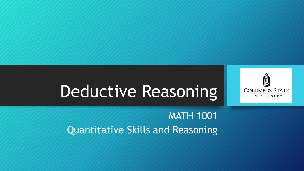

MATH 1001 Quantitative Skills and Reasoning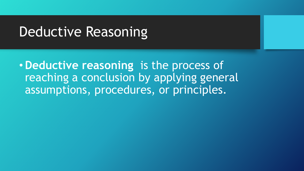•**Deductive reasoning** is the process of reaching a conclusion by applying general assumptions, procedures, or principles.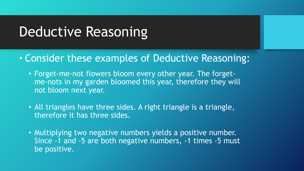- Consider these examples of Deductive Reasoning:
	- Forget-me-not flowers bloom every other year. The forgetme-nots in my garden bloomed this year, therefore they will not bloom next year.
	- All triangles have three sides. A right triangle is a triangle, therefore it has three sides.
	- Multiplying two negative numbers yields a positive number. Since -1 and -5 are both negative numbers, -1 times -5 must be positive.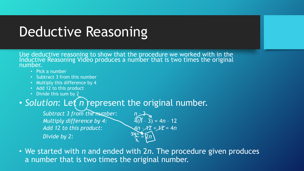Use deductive reasoning to show that the procedure we worked with in the Inductive Reasoning Video produces a number that is two times the original number.

- Pick a number
- Subtract 3 from this number
- Multiply this difference by 4
- Add 12 to this product
- Divide this sum by 2

#### • Solution: Let *n* represent the original number.

*Subtract 3 from the number:*  $n = 3$ <br>*Multiply difference by 4:*  $4(n - 3) = 4n - 12$ *Multiply difference by 4: Add 12 to this product:* 4*n* – 12 + 12 = 4*n* Divide by 2:

<u>አ</u> = 2*n*

• We started with *n* and ended with 2*n*. The procedure given produces a number that is two times the original number.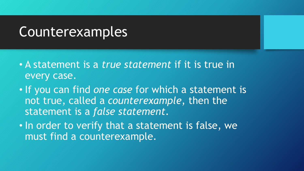#### Counterexamples

- A statement is a *true statement* if it is true in every case.
- If you can find *one case* for which a statement is not true, called a *counterexample*, then the statement is a *false statement*.
- In order to verify that a statement is false, we must find a counterexample.